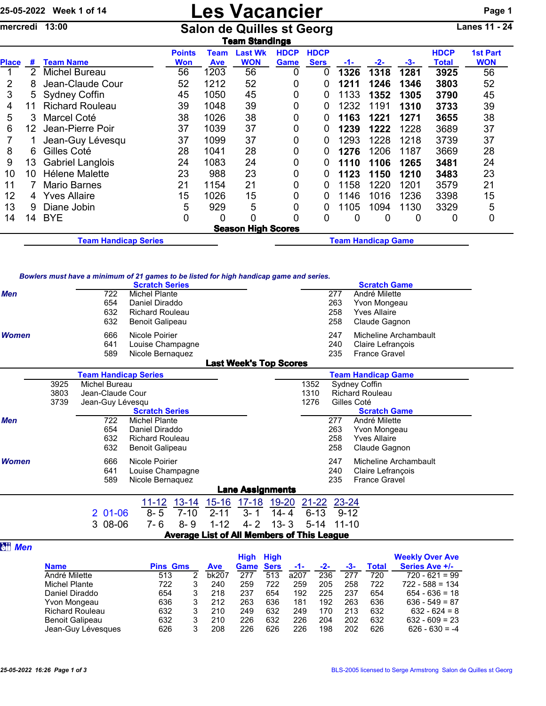## 25-05-2022 Week 1 of 14 **Les Vacancier** Page 1

mercredi 13:00 Salon de Quilles st Georg Lanes 11 - 24

|              | <b>Team Standings</b> |                             |                      |                    |                           |                     |                            |                           |       |      |                      |                               |  |
|--------------|-----------------------|-----------------------------|----------------------|--------------------|---------------------------|---------------------|----------------------------|---------------------------|-------|------|----------------------|-------------------------------|--|
| <b>Place</b> | #                     | <b>Team Name</b>            | <b>Points</b><br>Won | Team<br><b>Ave</b> | Last Wk<br><b>WON</b>     | <b>HDCP</b><br>Game | <b>HDCP</b><br><b>Sers</b> | -1-                       | $-2-$ | -3-  | <b>HDCP</b><br>Total | <b>1st Part</b><br><b>WON</b> |  |
|              | 2                     | Michel Bureau               | 56                   | 1203               | 56                        | 0                   | 0                          | 1326                      | 1318  | 1281 | 3925                 | 56                            |  |
| 2            | 8                     | Jean-Claude Cour            | 52                   | 1212               | 52                        | 0                   | 0                          | 1211                      | 1246  | 1346 | 3803                 | 52                            |  |
| 3            | 5                     | <b>Sydney Coffin</b>        | 45                   | 1050               | 45                        | 0                   | 0                          | 1133                      | 1352  | 1305 | 3790                 | 45                            |  |
| 4            | 11                    | <b>Richard Rouleau</b>      | 39                   | 1048               | 39                        | 0                   | 0                          | 1232                      | 1191  | 1310 | 3733                 | 39                            |  |
| 5            | 3                     | Marcel Coté                 | 38                   | 1026               | 38                        | 0                   | 0                          | 1163                      | 1221  | 1271 | 3655                 | 38                            |  |
| 6            | 12 <sup>2</sup>       | Jean-Pierre Poir            | 37                   | 1039               | 37                        | 0                   | 0                          | 1239                      | 1222  | 1228 | 3689                 | 37                            |  |
|              |                       | Jean-Guy Lévesqu            | 37                   | 1099               | 37                        | 0                   | 0                          | 1293                      | 1228  | 1218 | 3739                 | 37                            |  |
| 8            | 6                     | Gilles Coté                 | 28                   | 1041               | 28                        | 0                   | 0                          | 1276                      | 1206  | 1187 | 3669                 | 28                            |  |
| 9            | 13                    | <b>Gabriel Langlois</b>     | 24                   | 1083               | 24                        | 0                   | 0                          | 1110                      | 1106  | 1265 | 3481                 | 24                            |  |
| 10           | 10                    | Hélene Malette              | 23                   | 988                | 23                        | 0                   | 0                          | 1123                      | 1150  | 1210 | 3483                 | 23                            |  |
| 11           |                       | <b>Mario Barnes</b>         | 21                   | 1154               | 21                        | 0                   | 0                          | 1158                      | 1220  | 1201 | 3579                 | 21                            |  |
| 12           | 4                     | Yves Allaire                | 15                   | 1026               | 15                        | 0                   | 0                          | 1146                      | 1016  | 1236 | 3398                 | 15                            |  |
| 13           | 9                     | Diane Jobin                 | 5                    | 929                | 5                         | 0                   | 0                          | 1105                      | 1094  | 1130 | 3329                 | 5                             |  |
| 14           | 14                    | <b>BYE</b>                  | 0                    | 0                  | 0                         | 0                   | 0                          | 0                         | 0     | 0    | 0                    | 0                             |  |
|              |                       |                             |                      |                    | <b>Season High Scores</b> |                     |                            |                           |       |      |                      |                               |  |
|              |                       | <b>Team Handicap Series</b> |                      |                    |                           |                     |                            | <b>Team Handicap Game</b> |       |      |                      |                               |  |

## *Bowlers must have a minimum of 21 games to be listed for high handicap game and series.*

|                                                          |      | <b>Scratch Series</b>                                  | <b>Scratch Game</b>               |  |  |  |  |  |
|----------------------------------------------------------|------|--------------------------------------------------------|-----------------------------------|--|--|--|--|--|
| Men                                                      |      | 722<br>Michel Plante                                   | André Milette<br>277              |  |  |  |  |  |
|                                                          |      | 654<br>Daniel Diraddo                                  | 263<br>Yvon Mongeau               |  |  |  |  |  |
|                                                          |      | 632<br><b>Richard Rouleau</b>                          | 258<br><b>Yves Allaire</b>        |  |  |  |  |  |
|                                                          |      | 632<br><b>Benoit Galipeau</b>                          | 258<br>Claude Gagnon              |  |  |  |  |  |
| <b>Women</b>                                             |      | 666<br>Nicole Poirier                                  | 247<br>Micheline Archambault      |  |  |  |  |  |
|                                                          |      | 641<br>Louise Champagne                                | 240<br>Claire Lefrançois          |  |  |  |  |  |
|                                                          |      | 589<br>Nicole Bernaquez                                | <b>France Gravel</b><br>235       |  |  |  |  |  |
|                                                          |      | <b>Last Week's Top Scores</b>                          |                                   |  |  |  |  |  |
| <b>Team Handicap Series</b><br><b>Team Handicap Game</b> |      |                                                        |                                   |  |  |  |  |  |
|                                                          | 3925 | Michel Bureau                                          | 1352<br>Sydney Coffin             |  |  |  |  |  |
|                                                          | 3803 | Jean-Claude Cour                                       | 1310<br><b>Richard Rouleau</b>    |  |  |  |  |  |
|                                                          | 3739 | Jean-Guy Lévesqu                                       | 1276<br>Gilles Coté               |  |  |  |  |  |
|                                                          |      | <b>Scratch Series</b>                                  | <b>Scratch Game</b>               |  |  |  |  |  |
| <b>Men</b>                                               |      | 722<br><b>Michel Plante</b>                            | 277<br>André Milette              |  |  |  |  |  |
|                                                          |      | 654<br>Daniel Diraddo                                  | 263<br>Yvon Mongeau               |  |  |  |  |  |
|                                                          |      | 632<br><b>Richard Rouleau</b>                          | 258<br><b>Yves Allaire</b>        |  |  |  |  |  |
|                                                          |      | 632<br><b>Benoit Galipeau</b>                          | 258<br>Claude Gagnon              |  |  |  |  |  |
| <b>Women</b>                                             |      | Nicole Poirier<br>666                                  | Micheline Archambault<br>247      |  |  |  |  |  |
|                                                          |      | 641<br>Louise Champagne                                | Claire Lefrançois<br>240          |  |  |  |  |  |
|                                                          |      | 589<br>Nicole Bernaquez                                | 235<br><b>France Gravel</b>       |  |  |  |  |  |
|                                                          |      | <b>Lane Assignments</b>                                |                                   |  |  |  |  |  |
|                                                          |      | $11 - 12$<br>13-14 15-16                               | <u>17-18</u> 19-20 21-22 23-24    |  |  |  |  |  |
|                                                          |      | $8 - 5$<br>$201-06$<br>$3 - 1$<br>$7 - 10$<br>$2 - 11$ | $6 - 13$<br>$9 - 12$<br>$14 - 4$  |  |  |  |  |  |
|                                                          |      | 3 08-06<br>$8 - 9$<br>$1 - 12$<br>$4 - 2$<br>$7 - 6$   | $13 - 3$<br>$5 - 14$<br>$11 - 10$ |  |  |  |  |  |
|                                                          |      | <b>Average List of All Members of This League</b>      |                                   |  |  |  |  |  |

## **a**<sup>#</sup> Men

|                        |     |                 |       | <b>High</b> | <b>High</b> |      |            |     |              | <b>Weekly Over Ave</b> |  |
|------------------------|-----|-----------------|-------|-------------|-------------|------|------------|-----|--------------|------------------------|--|
| <b>Name</b>            |     | <b>Pins Gms</b> |       | Game        | <b>Sers</b> | -1-  | -2-<br>-3- |     | <b>Total</b> | Series Ave +/-         |  |
| André Milette          | 513 |                 | bk207 | 277         | 513         | a207 | 236        | 277 | 720          | $720 - 621 = 99$       |  |
| <b>Michel Plante</b>   | 722 | 3               | 240   | 259         | 722         | 259  | 205        | 258 | 722          | $722 - 588 = 134$      |  |
| Daniel Diraddo         | 654 | 3               | 218   | 237         | 654         | 192  | 225        | 237 | 654          | $654 - 636 = 18$       |  |
| Yvon Mongeau           | 636 | 3               | 212   | 263         | 636         | 181  | 192        | 263 | 636          | $636 - 549 = 87$       |  |
| <b>Richard Rouleau</b> | 632 | 3               | 210   | 249         | 632         | 249  | 170        | 213 | 632          | $632 - 624 = 8$        |  |
| <b>Benoit Galipeau</b> | 632 | 3               | 210   | 226         | 632         | 226  | 204        | 202 | 632          | $632 - 609 = 23$       |  |
| Jean-Guy Lévesques     | 626 | 3               | 208   | 226         | 626         | 226  | 198        | 202 | 626          | $626 - 630 = -4$       |  |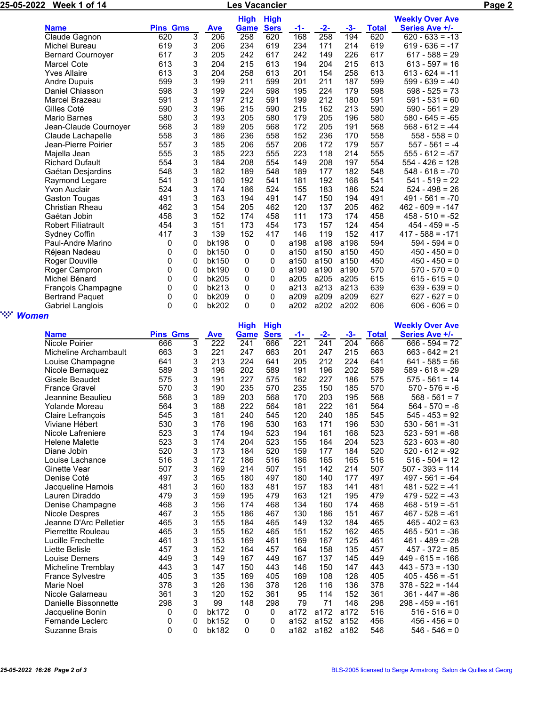| 25-05-2022<br>Week 1 of 14 |                           |                 |                |              | Les Vacancier |             |       | Page 2 |       |              |                        |  |
|----------------------------|---------------------------|-----------------|----------------|--------------|---------------|-------------|-------|--------|-------|--------------|------------------------|--|
|                            |                           |                 |                |              | <b>High</b>   | <b>High</b> |       |        |       |              | <b>Weekly Over Ave</b> |  |
|                            | <b>Name</b>               | <b>Pins Gms</b> |                | <b>Ave</b>   | Game          | <b>Sers</b> | $-1-$ | $-2-$  | $-3-$ | <b>Total</b> | Series Ave +/-         |  |
|                            | Claude Gagnon             | 620             | $\overline{3}$ | 206          | 258           | 620         | 168   | 258    | 194   | 620          | $620 - 633 = -13$      |  |
|                            | Michel Bureau             | 619             | 3              | 206          | 234           | 619         | 234   | 171    | 214   | 619          | $619 - 636 = -17$      |  |
|                            | <b>Bernard Cournoyer</b>  | 617             | 3              | 205          | 242           | 617         | 242   | 149    | 226   | 617          | $617 - 588 = 29$       |  |
|                            | <b>Marcel Cote</b>        | 613             | 3              | 204          | 215           | 613         | 194   | 204    | 215   | 613          | $613 - 597 = 16$       |  |
|                            | <b>Yves Allaire</b>       | 613             | 3              | 204          | 258           | 613         | 201   | 154    | 258   | 613          | $613 - 624 = -11$      |  |
|                            | Andre Dupuis              | 599             | 3              | 199          | 211           | 599         | 201   | 211    | 187   | 599          | $599 - 639 = -40$      |  |
|                            | Daniel Chiasson           | 598             | 3              | 199          | 224           | 598         | 195   | 224    | 179   | 598          | $598 - 525 = 73$       |  |
|                            | Marcel Brazeau            | 591             | 3              | 197          | 212           | 591         | 199   | 212    | 180   | 591          | $591 - 531 = 60$       |  |
|                            | Gilles Coté               | 590             | 3              | 196          | 215           | 590         | 215   | 162    | 213   | 590          | $590 - 561 = 29$       |  |
|                            | Mario Barnes              | 580             | 3              | 193          | 205           | 580         | 179   | 205    | 196   | 580          | $580 - 645 = -65$      |  |
|                            | Jean-Claude Cournoyer     | 568             | 3              | 189          | 205           | 568         | 172   | 205    | 191   | 568          | $568 - 612 = -44$      |  |
|                            | Claude Lachapelle         | 558             | 3              | 186          | 236           | 558         | 152   | 236    | 170   | 558          | $558 - 558 = 0$        |  |
|                            | Jean-Pierre Poirier       | 557             | 3              | 185          | 206           | 557         | 206   | 172    | 179   | 557          | $557 - 561 = -4$       |  |
|                            | Majella Jean              | 555             | 3              | 185          | 223           | 555         | 223   | 118    | 214   | 555          | $555 - 612 = -57$      |  |
|                            | <b>Richard Dufault</b>    | 554             | 3              | 184          | 208           | 554         | 149   | 208    | 197   | 554          | $554 - 426 = 128$      |  |
|                            | Gaétan Desjardins         | 548             | 3              | 182          | 189           | 548         | 189   | 177    | 182   | 548          | $548 - 618 = -70$      |  |
|                            | Raymond Legare            | 541             | 3              | 180          | 192           | 541         | 181   | 192    | 168   | 541          | $541 - 519 = 22$       |  |
|                            | Yvon Auclair              | 524             | 3              | 174          | 186           | 524         | 155   | 183    | 186   | 524          | $524 - 498 = 26$       |  |
|                            | <b>Gaston Tougas</b>      | 491             | 3              | 163          | 194           | 491         | 147   | 150    | 194   | 491          | $491 - 561 = -70$      |  |
|                            | <b>Christian Rheau</b>    | 462             | 3              | 154          | 205           | 462         | 120   | 137    | 205   | 462          | $462 - 609 = -147$     |  |
|                            | Gaétan Jobin              | 458             | 3              | 152          | 174           | 458         | 111   | 173    | 174   | 458          | $458 - 510 = -52$      |  |
|                            | <b>Robert Filiatrault</b> | 454             | 3              | 151          | 173           | 454         | 173   | 157    | 124   | 454          | $454 - 459 = -5$       |  |
|                            | Sydney Coffin             | 417             | 3              | 139          | 152           | 417         | 146   | 119    | 152   | 417          | $417 - 588 = -171$     |  |
|                            | Paul-Andre Marino         | 0               | 0              | <b>bk198</b> | 0             | 0           | a198  | a198   | a198  | 594          | $594 - 594 = 0$        |  |
|                            | Réjean Nadeau             | 0               | 0              | bk150        | 0             | 0           | a150  | a150   | a150  | 450          | $450 - 450 = 0$        |  |
|                            | Roger Douville            | 0               | 0              | bk150        | 0             | 0           | a150  | a150   | a150  | 450          | $450 - 450 = 0$        |  |
|                            | Roger Campron             | 0               | 0              | bk190        | 0             | 0           | a190  | a190   | a190  | 570          | $570 - 570 = 0$        |  |
|                            | Michel Bénard             | 0               | 0              | bk205        | 0             | 0           | a205  | a205   | a205  | 615          | $615 - 615 = 0$        |  |
|                            | François Champagne        | 0               | 0              | bk213        | 0             | 0           | a213  | a213   | a213  | 639          | $639 - 639 = 0$        |  |
|                            | <b>Bertrand Paquet</b>    | 0               | 0              | bk209        | 0             | 0           | a209  | a209   | a209  | 627          | $627 - 627 = 0$        |  |
|                            | Gabriel Langlois          | $\mathbf{0}$    | 0              | bk202        | $\Omega$      | 0           | a202  | a202   | a202  | 606          | $606 - 606 = 0$        |  |

## " *Women*

| . .                     |                 |   |              | <b>High</b> | <b>High</b> |                  |       |       |              | <b>Weekly Over Ave</b> |
|-------------------------|-----------------|---|--------------|-------------|-------------|------------------|-------|-------|--------------|------------------------|
| <b>Name</b>             | <b>Pins Gms</b> |   | <b>Ave</b>   | Game        | <b>Sers</b> | $-1-$            | $-2-$ | $-3-$ | <b>Total</b> | Series Ave +/-         |
| Nicole Poirier          | 666             | 3 | 222          | 241         | 666         | $\overline{221}$ | 241   | 204   | 666          | $666 - 594 = 72$       |
| Micheline Archambault   | 663             | 3 | 221          | 247         | 663         | 201              | 247   | 215   | 663          | $663 - 642 = 21$       |
| Louise Champagne        | 641             | 3 | 213          | 224         | 641         | 205              | 212   | 224   | 641          | $641 - 585 = 56$       |
| Nicole Bernaguez        | 589             | 3 | 196          | 202         | 589         | 191              | 196   | 202   | 589          | $589 - 618 = -29$      |
| Gisele Beaudet          | 575             | 3 | 191          | 227         | 575         | 162              | 227   | 186   | 575          | $575 - 561 = 14$       |
| <b>France Gravel</b>    | 570             | 3 | 190          | 235         | 570         | 235              | 150   | 185   | 570          | $570 - 576 = -6$       |
| Jeannine Beaulieu       | 568             | 3 | 189          | 203         | 568         | 170              | 203   | 195   | 568          | 568 - 561<br>$= 7$     |
| Yolande Moreau          | 564             | 3 | 188          | 222         | 564         | 181              | 222   | 161   | 564          | $564 - 570 = -6$       |
| Claire Lefrançois       | 545             | 3 | 181          | 240         | 545         | 120              | 240   | 185   | 545          | $545 - 453 = 92$       |
| Viviane Hébert          | 530             | 3 | 176          | 196         | 530         | 163              | 171   | 196   | 530          | $530 - 561 = -31$      |
| Nicole Lafreniere       | 523             | 3 | 174          | 194         | 523         | 194              | 161   | 168   | 523          | $523 - 591 = -68$      |
| <b>Helene Malette</b>   | 523             | 3 | 174          | 204         | 523         | 155              | 164   | 204   | 523          | $523 - 603 = -80$      |
| Diane Jobin             | 520             | 3 | 173          | 184         | 520         | 159              | 177   | 184   | 520          | $520 - 612 = -92$      |
| Louise Lachance         | 516             | 3 | 172          | 186         | 516         | 186              | 165   | 165   | 516          | $516 - 504 = 12$       |
| Ginette Vear            | 507             | 3 | 169          | 214         | 507         | 151              | 142   | 214   | 507          | $507 - 393 = 114$      |
| Denise Coté             | 497             | 3 | 165          | 180         | 497         | 180              | 140   | 177   | 497          | $497 - 561 = -64$      |
| Jacqueline Harnois      | 481             | 3 | 160          | 183         | 481         | 157              | 183   | 141   | 481          | $481 - 522 = -41$      |
| Lauren Diraddo          | 479             | 3 | 159          | 195         | 479         | 163              | 121   | 195   | 479          | $479 - 522 = -43$      |
| Denise Champagne        | 468             | 3 | 156          | 174         | 468         | 134              | 160   | 174   | 468          | $468 - 519 = -51$      |
| Nicole Despres          | 467             | 3 | 155          | 186         | 467         | 130              | 186   | 151   | 467          | $467 - 528 = -61$      |
| Jeanne D'Arc Pelletier  | 465             | 3 | 155          | 184         | 465         | 149              | 132   | 184   | 465          | $465 - 402 = 63$       |
| Pierrettte Rouleau      | 465             | 3 | 155          | 162         | 465         | 151              | 152   | 162   | 465          | $465 - 501 = -36$      |
| Lucille Frechette       | 461             | 3 | 153          | 169         | 461         | 169              | 167   | 125   | 461          | $461 - 489 = -28$      |
| Liette Belisle          | 457             | 3 | 152          | 164         | 457         | 164              | 158   | 135   | 457          | $457 - 372 = 85$       |
| Louise Demers           | 449             | 3 | 149          | 167         | 449         | 167              | 137   | 145   | 449          | $449 - 615 = -166$     |
| Micheline Tremblay      | 443             | 3 | 147          | 150         | 443         | 146              | 150   | 147   | 443          | $443 - 573 = -130$     |
| <b>France Sylvestre</b> | 405             | 3 | 135          | 169         | 405         | 169              | 108   | 128   | 405          | $405 - 456 = -51$      |
| Marie Noel              | 378             | 3 | 126          | 136         | 378         | 126              | 116   | 136   | 378          | $378 - 522 = -144$     |
| Nicole Galarneau        | 361             | 3 | 120          | 152         | 361         | 95               | 114   | 152   | 361          | $361 - 447 = -86$      |
| Danielle Bissonnette    | 298             | 3 | 99           | 148         | 298         | 79               | 71    | 148   | 298          | $298 - 459 = -161$     |
| Jacqueline Bonin        | 0               | 0 | <b>bk172</b> | 0           | $\Omega$    | a172             | a172  | a172  | 516          | $516 - 516 = 0$        |
| Fernande Leclerc        | 0               | 0 | bk152        | 0           | 0           | a152             | a152  | a152  | 456          | $456 - 456 = 0$        |
| Suzanne Brais           | $\Omega$        | 0 | bk182        | 0           | 0           | a182             | a182  | a182  | 546          | $546 - 546 = 0$        |